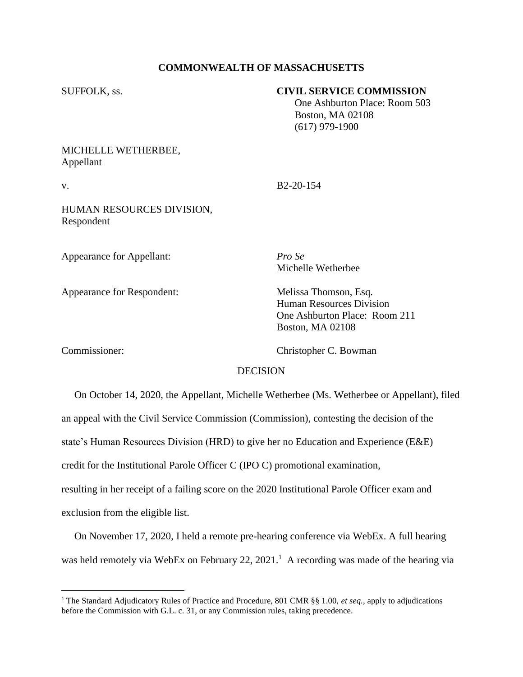## **COMMONWEALTH OF MASSACHUSETTS**

## SUFFOLK, ss. **CIVIL SERVICE COMMISSION**

 One Ashburton Place: Room 503 Boston, MA 02108 (617) 979-1900

# MICHELLE WETHERBEE, Appellant

v. B2-20-154

HUMAN RESOURCES DIVISION, Respondent

Appearance for Appellant: *Pro Se*

Appearance for Respondent: Melissa Thomson, Esq.

Michelle Wetherbee

Human Resources Division One Ashburton Place: Room 211 Boston, MA 02108

Commissioner: Christopher C. Bowman

## **DECISION**

 On October 14, 2020, the Appellant, Michelle Wetherbee (Ms. Wetherbee or Appellant), filed an appeal with the Civil Service Commission (Commission), contesting the decision of the state's Human Resources Division (HRD) to give her no Education and Experience (E&E) credit for the Institutional Parole Officer C (IPO C) promotional examination, resulting in her receipt of a failing score on the 2020 Institutional Parole Officer exam and exclusion from the eligible list.

 On November 17, 2020, I held a remote pre-hearing conference via WebEx. A full hearing was held remotely via WebEx on February 22, 2021.<sup>1</sup> A recording was made of the hearing via

<sup>1</sup> The Standard Adjudicatory Rules of Practice and Procedure, 801 CMR §§ 1.00, *et seq.*, apply to adjudications before the Commission with G.L. c. 31, or any Commission rules, taking precedence.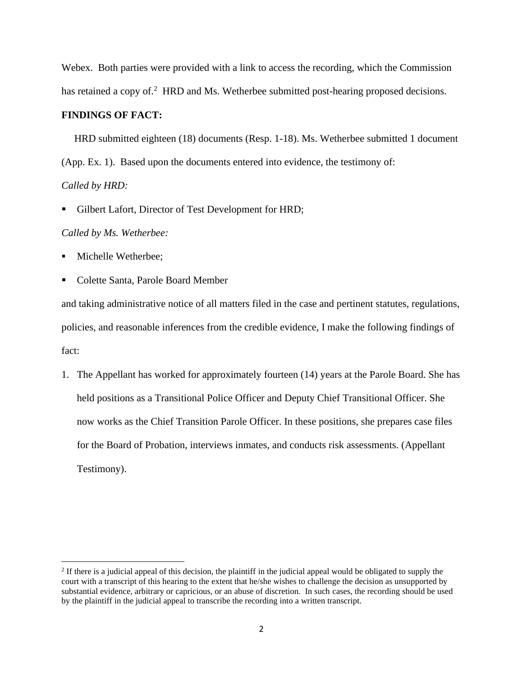Webex. Both parties were provided with a link to access the recording, which the Commission has retained a copy of.<sup>2</sup> HRD and Ms. Wetherbee submitted post-hearing proposed decisions.

### **FINDINGS OF FACT:**

 HRD submitted eighteen (18) documents (Resp. 1-18). Ms. Wetherbee submitted 1 document (App. Ex. 1). Based upon the documents entered into evidence, the testimony of: *Called by HRD:*

Gilbert Lafort, Director of Test Development for HRD;

#### *Called by Ms. Wetherbee:*

- Michelle Wetherbee;
- Colette Santa, Parole Board Member

and taking administrative notice of all matters filed in the case and pertinent statutes, regulations, policies, and reasonable inferences from the credible evidence, I make the following findings of fact:

1. The Appellant has worked for approximately fourteen (14) years at the Parole Board. She has held positions as a Transitional Police Officer and Deputy Chief Transitional Officer. She now works as the Chief Transition Parole Officer. In these positions, she prepares case files for the Board of Probation, interviews inmates, and conducts risk assessments. (Appellant Testimony).

 $2<sup>2</sup>$  If there is a judicial appeal of this decision, the plaintiff in the judicial appeal would be obligated to supply the court with a transcript of this hearing to the extent that he/she wishes to challenge the decision as unsupported by substantial evidence, arbitrary or capricious, or an abuse of discretion. In such cases, the recording should be used by the plaintiff in the judicial appeal to transcribe the recording into a written transcript.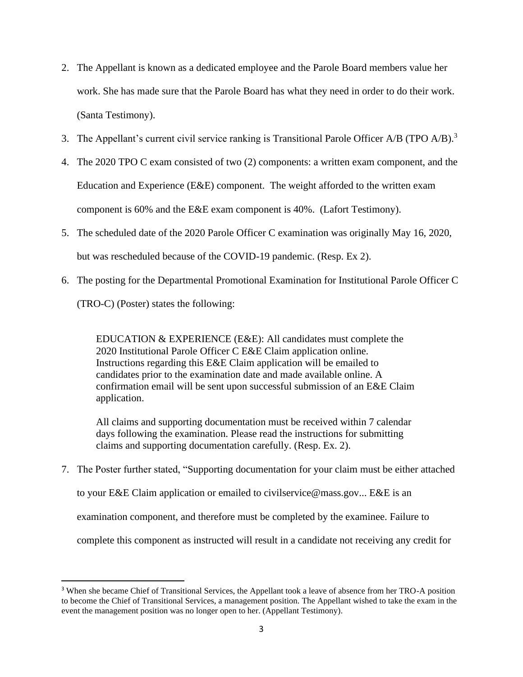- 2. The Appellant is known as a dedicated employee and the Parole Board members value her work. She has made sure that the Parole Board has what they need in order to do their work. (Santa Testimony).
- 3. The Appellant's current civil service ranking is Transitional Parole Officer A/B (TPO  $A/B$ ).<sup>3</sup>
- 4. The 2020 TPO C exam consisted of two (2) components: a written exam component, and the Education and Experience (E&E) component. The weight afforded to the written exam component is 60% and the E&E exam component is 40%. (Lafort Testimony).
- 5. The scheduled date of the 2020 Parole Officer C examination was originally May 16, 2020, but was rescheduled because of the COVID-19 pandemic. (Resp. Ex 2).
- 6. The posting for the Departmental Promotional Examination for Institutional Parole Officer C (TRO-C) (Poster) states the following:

EDUCATION & EXPERIENCE (E&E): All candidates must complete the 2020 Institutional Parole Officer C E&E Claim application online. Instructions regarding this E&E Claim application will be emailed to candidates prior to the examination date and made available online. A confirmation email will be sent upon successful submission of an E&E Claim application.

All claims and supporting documentation must be received within 7 calendar days following the examination. Please read the instructions for submitting claims and supporting documentation carefully. (Resp. Ex. 2).

7. The Poster further stated, "Supporting documentation for your claim must be either attached

to your E&E Claim application or emailed to civilservice@mass.gov... E&E is an

examination component, and therefore must be completed by the examinee. Failure to

complete this component as instructed will result in a candidate not receiving any credit for

<sup>3</sup> When she became Chief of Transitional Services, the Appellant took a leave of absence from her TRO-A position to become the Chief of Transitional Services, a management position. The Appellant wished to take the exam in the event the management position was no longer open to her. (Appellant Testimony).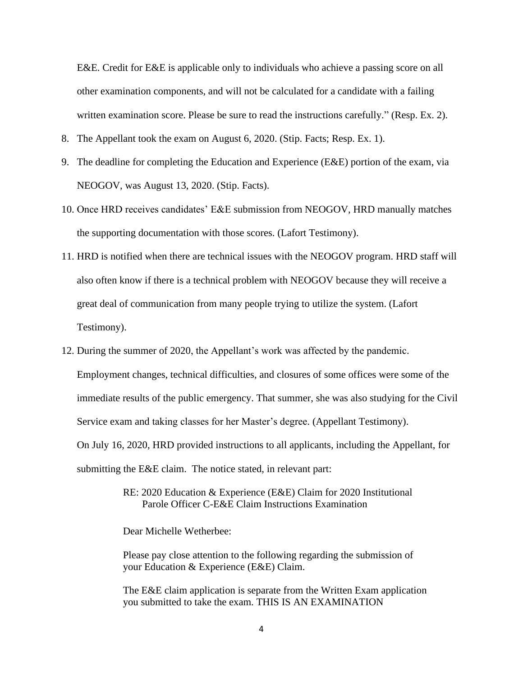E&E. Credit for E&E is applicable only to individuals who achieve a passing score on all other examination components, and will not be calculated for a candidate with a failing written examination score. Please be sure to read the instructions carefully." (Resp. Ex. 2).

- 8. The Appellant took the exam on August 6, 2020. (Stip. Facts; Resp. Ex. 1).
- 9. The deadline for completing the Education and Experience (E&E) portion of the exam, via NEOGOV, was August 13, 2020. (Stip. Facts).
- 10. Once HRD receives candidates' E&E submission from NEOGOV, HRD manually matches the supporting documentation with those scores. (Lafort Testimony).
- 11. HRD is notified when there are technical issues with the NEOGOV program. HRD staff will also often know if there is a technical problem with NEOGOV because they will receive a great deal of communication from many people trying to utilize the system. (Lafort Testimony).
- 12. During the summer of 2020, the Appellant's work was affected by the pandemic. Employment changes, technical difficulties, and closures of some offices were some of the immediate results of the public emergency. That summer, she was also studying for the Civil Service exam and taking classes for her Master's degree. (Appellant Testimony). On July 16, 2020, HRD provided instructions to all applicants, including the Appellant, for submitting the E&E claim. The notice stated, in relevant part:
	- RE: 2020 Education & Experience (E&E) Claim for 2020 Institutional Parole Officer C-E&E Claim Instructions Examination

Dear Michelle Wetherbee:

Please pay close attention to the following regarding the submission of your Education & Experience (E&E) Claim.

The E&E claim application is separate from the Written Exam application you submitted to take the exam. THIS IS AN EXAMINATION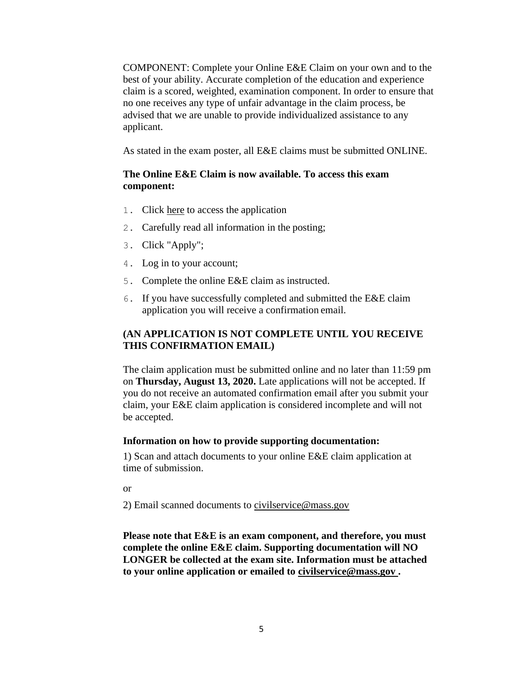COMPONENT: Complete your Online E&E Claim on your own and to the best of your ability. Accurate completion of the education and experience claim is a scored, weighted, examination component. In order to ensure that no one receives any type of unfair advantage in the claim process, be advised that we are unable to provide individualized assistance to any applicant.

As stated in the exam poster, all E&E claims must be submitted ONLINE.

## **The Online E&E Claim is now available. To access this exam component:**

- 1. Click here to access the application
- 2. Carefully read all information in the posting;
- 3. Click "Apply";
- 4. Log in to your account;
- 5. Complete the online E&E claim as instructed.
- 6. If you have successfully completed and submitted the E&E claim application you will receive a confirmation email.

# **(AN APPLICATION IS NOT COMPLETE UNTIL YOU RECEIVE THIS CONFIRMATION EMAIL)**

The claim application must be submitted online and no later than 11:59 pm on **Thursday, August 13, 2020.** Late applications will not be accepted. If you do not receive an automated confirmation email after you submit your claim, your E&E claim application is considered incomplete and will not be accepted.

## **Information on how to provide supporting documentation:**

1) Scan and attach documents to your online E&E claim application at time of submission.

or

2) Email scanned documents to [civilservice@mass.gov](mailto:civilservice@mass.gov)

**Please note that E&E is an exam component, and therefore, you must complete the online E&E claim. Supporting documentation will NO LONGER be collected at the exam site. Information must be attached to your online application or emailed to [civilservice@mass.gov .](mailto:civilservice@mass.gov)**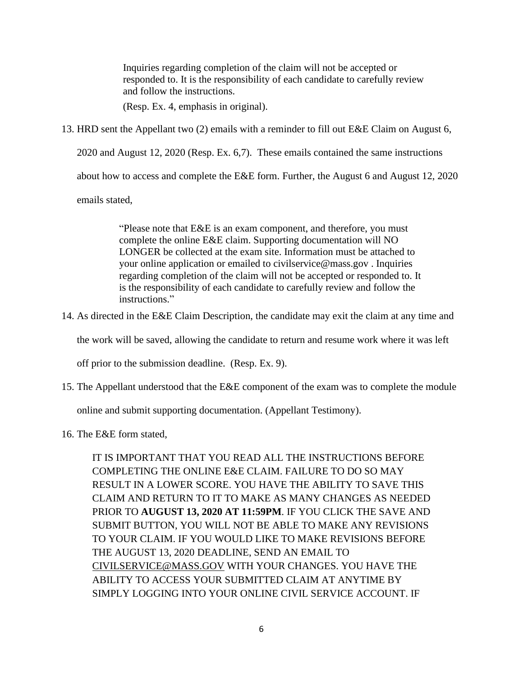Inquiries regarding completion of the claim will not be accepted or responded to. It is the responsibility of each candidate to carefully review and follow the instructions.

(Resp. Ex. 4, emphasis in original).

13. HRD sent the Appellant two (2) emails with a reminder to fill out E&E Claim on August 6,

2020 and August 12, 2020 (Resp. Ex. 6,7). These emails contained the same instructions

about how to access and complete the E&E form. Further, the August 6 and August 12, 2020

emails stated,

"Please note that E&E is an exam component, and therefore, you must complete the online E&E claim. Supporting documentation will NO LONGER be collected at the exam site. Information must be attached to your online application or emailed to civilservice@mass.gov . Inquiries regarding completion of the claim will not be accepted or responded to. It is the responsibility of each candidate to carefully review and follow the instructions."

14. As directed in the E&E Claim Description, the candidate may exit the claim at any time and

the work will be saved, allowing the candidate to return and resume work where it was left

off prior to the submission deadline. (Resp. Ex. 9).

15. The Appellant understood that the E&E component of the exam was to complete the module

online and submit supporting documentation. (Appellant Testimony).

16. The E&E form stated,

IT IS IMPORTANT THAT YOU READ ALL THE INSTRUCTIONS BEFORE COMPLETING THE ONLINE E&E CLAIM. FAILURE TO DO SO MAY RESULT IN A LOWER SCORE. YOU HAVE THE ABILITY TO SAVE THIS CLAIM AND RETURN TO IT TO MAKE AS MANY CHANGES AS NEEDED PRIOR TO **AUGUST 13, 2020 AT 11:59PM**. IF YOU CLICK THE SAVE AND SUBMIT BUTTON, YOU WILL NOT BE ABLE TO MAKE ANY REVISIONS TO YOUR CLAIM. IF YOU WOULD LIKE TO MAKE REVISIONS BEFORE THE AUGUST 13, 2020 DEADLINE, SEND AN EMAIL TO CIVILSERVICE@MASS.GOV WITH YOUR CHANGES. YOU HAVE THE ABILITY TO ACCESS YOUR SUBMITTED CLAIM AT ANYTIME BY SIMPLY LOGGING INTO YOUR ONLINE CIVIL SERVICE ACCOUNT. IF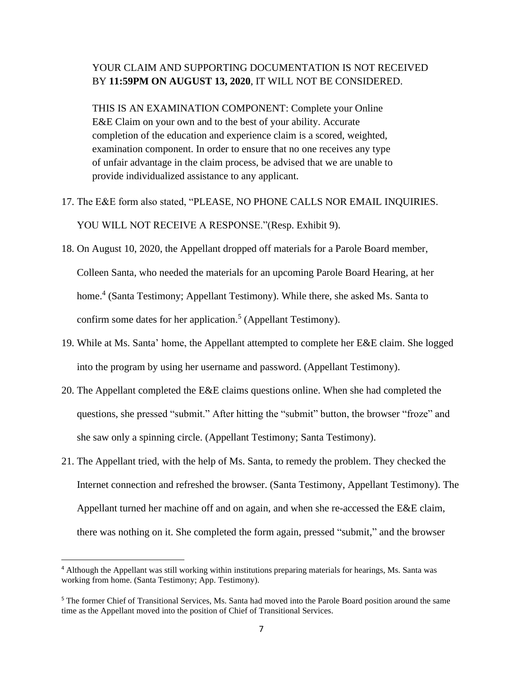# YOUR CLAIM AND SUPPORTING DOCUMENTATION IS NOT RECEIVED BY **11:59PM ON AUGUST 13, 2020**, IT WILL NOT BE CONSIDERED.

THIS IS AN EXAMINATION COMPONENT: Complete your Online E&E Claim on your own and to the best of your ability. Accurate completion of the education and experience claim is a scored, weighted, examination component. In order to ensure that no one receives any type of unfair advantage in the claim process, be advised that we are unable to provide individualized assistance to any applicant.

- 17. The E&E form also stated, "PLEASE, NO PHONE CALLS NOR EMAIL INQUIRIES. YOU WILL NOT RECEIVE A RESPONSE."(Resp. Exhibit 9).
- 18. On August 10, 2020, the Appellant dropped off materials for a Parole Board member, Colleen Santa, who needed the materials for an upcoming Parole Board Hearing, at her home.<sup>4</sup> (Santa Testimony; Appellant Testimony). While there, she asked Ms. Santa to confirm some dates for her application. 5 (Appellant Testimony).
- 19. While at Ms. Santa' home, the Appellant attempted to complete her E&E claim. She logged into the program by using her username and password. (Appellant Testimony).
- 20. The Appellant completed the E&E claims questions online. When she had completed the questions, she pressed "submit." After hitting the "submit" button, the browser "froze" and she saw only a spinning circle. (Appellant Testimony; Santa Testimony).
- 21. The Appellant tried, with the help of Ms. Santa, to remedy the problem. They checked the Internet connection and refreshed the browser. (Santa Testimony, Appellant Testimony). The Appellant turned her machine off and on again, and when she re-accessed the E&E claim, there was nothing on it. She completed the form again, pressed "submit," and the browser

<sup>4</sup> Although the Appellant was still working within institutions preparing materials for hearings, Ms. Santa was working from home. (Santa Testimony; App. Testimony).

<sup>5</sup> The former Chief of Transitional Services, Ms. Santa had moved into the Parole Board position around the same time as the Appellant moved into the position of Chief of Transitional Services.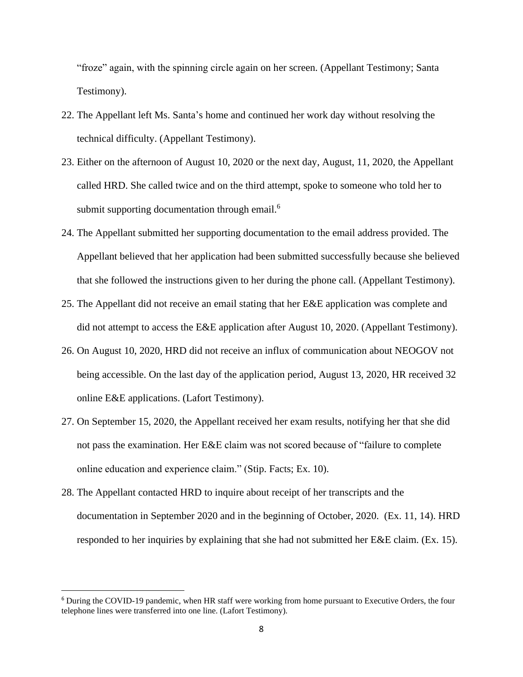"froze" again, with the spinning circle again on her screen. (Appellant Testimony; Santa Testimony).

- 22. The Appellant left Ms. Santa's home and continued her work day without resolving the technical difficulty. (Appellant Testimony).
- 23. Either on the afternoon of August 10, 2020 or the next day, August, 11, 2020, the Appellant called HRD. She called twice and on the third attempt, spoke to someone who told her to submit supporting documentation through email.<sup>6</sup>
- 24. The Appellant submitted her supporting documentation to the email address provided. The Appellant believed that her application had been submitted successfully because she believed that she followed the instructions given to her during the phone call. (Appellant Testimony).
- 25. The Appellant did not receive an email stating that her E&E application was complete and did not attempt to access the E&E application after August 10, 2020. (Appellant Testimony).
- 26. On August 10, 2020, HRD did not receive an influx of communication about NEOGOV not being accessible. On the last day of the application period, August 13, 2020, HR received 32 online E&E applications. (Lafort Testimony).
- 27. On September 15, 2020, the Appellant received her exam results, notifying her that she did not pass the examination. Her E&E claim was not scored because of "failure to complete online education and experience claim." (Stip. Facts; Ex. 10).
- 28. The Appellant contacted HRD to inquire about receipt of her transcripts and the documentation in September 2020 and in the beginning of October, 2020. (Ex. 11, 14). HRD responded to her inquiries by explaining that she had not submitted her E&E claim. (Ex. 15).

<sup>6</sup> During the COVID-19 pandemic, when HR staff were working from home pursuant to Executive Orders, the four telephone lines were transferred into one line. (Lafort Testimony).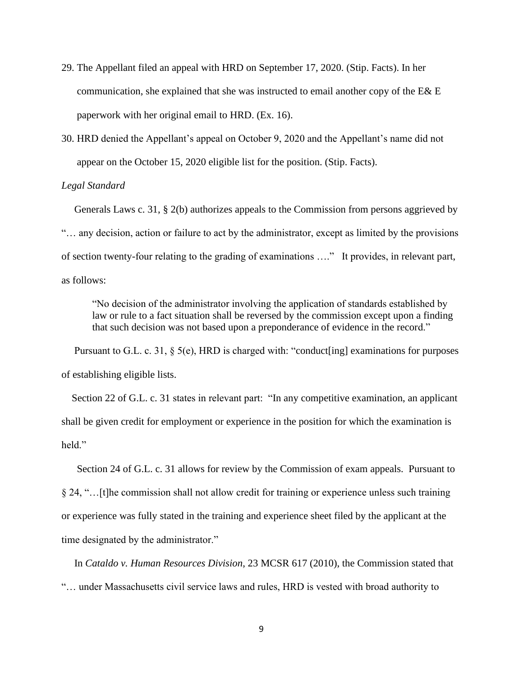- 29. The Appellant filed an appeal with HRD on September 17, 2020. (Stip. Facts). In her communication, she explained that she was instructed to email another copy of the E& E paperwork with her original email to HRD. (Ex. 16).
- 30. HRD denied the Appellant's appeal on October 9, 2020 and the Appellant's name did not appear on the October 15, 2020 eligible list for the position. (Stip. Facts).

## *Legal Standard*

 Generals Laws c. 31, § 2(b) authorizes appeals to the Commission from persons aggrieved by "… any decision, action or failure to act by the administrator, except as limited by the provisions of section twenty-four relating to the grading of examinations …." It provides, in relevant part, as follows:

"No decision of the administrator involving the application of standards established by law or rule to a fact situation shall be reversed by the commission except upon a finding that such decision was not based upon a preponderance of evidence in the record."

 Pursuant to G.L. c. 31, § 5(e), HRD is charged with: "conduct[ing] examinations for purposes of establishing eligible lists.

Section 22 of G.L. c. 31 states in relevant part: "In any competitive examination, an applicant shall be given credit for employment or experience in the position for which the examination is held."

 Section 24 of G.L. c. 31 allows for review by the Commission of exam appeals. Pursuant to § 24, "…[t]he commission shall not allow credit for training or experience unless such training or experience was fully stated in the training and experience sheet filed by the applicant at the time designated by the administrator."

 In *Cataldo v. Human Resources Division*, 23 MCSR 617 (2010), the Commission stated that "… under Massachusetts civil service laws and rules, HRD is vested with broad authority to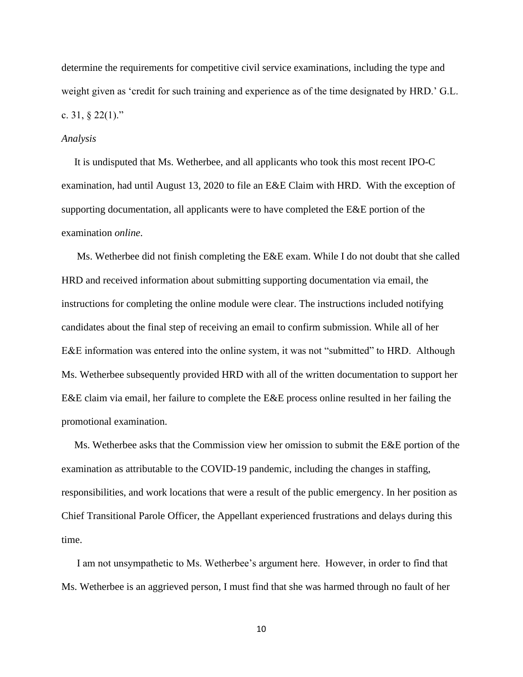determine the requirements for competitive civil service examinations, including the type and weight given as 'credit for such training and experience as of the time designated by HRD.' G.L. c. 31, § 22(1)."

#### *Analysis*

 It is undisputed that Ms. Wetherbee, and all applicants who took this most recent IPO-C examination, had until August 13, 2020 to file an E&E Claim with HRD. With the exception of supporting documentation, all applicants were to have completed the E&E portion of the examination *online*.

Ms. Wetherbee did not finish completing the E&E exam. While I do not doubt that she called HRD and received information about submitting supporting documentation via email, the instructions for completing the online module were clear. The instructions included notifying candidates about the final step of receiving an email to confirm submission. While all of her E&E information was entered into the online system, it was not "submitted" to HRD. Although Ms. Wetherbee subsequently provided HRD with all of the written documentation to support her E&E claim via email, her failure to complete the E&E process online resulted in her failing the promotional examination.

Ms. Wetherbee asks that the Commission view her omission to submit the E&E portion of the examination as attributable to the COVID-19 pandemic, including the changes in staffing, responsibilities, and work locations that were a result of the public emergency. In her position as Chief Transitional Parole Officer, the Appellant experienced frustrations and delays during this time.

I am not unsympathetic to Ms. Wetherbee's argument here. However, in order to find that Ms. Wetherbee is an aggrieved person, I must find that she was harmed through no fault of her

10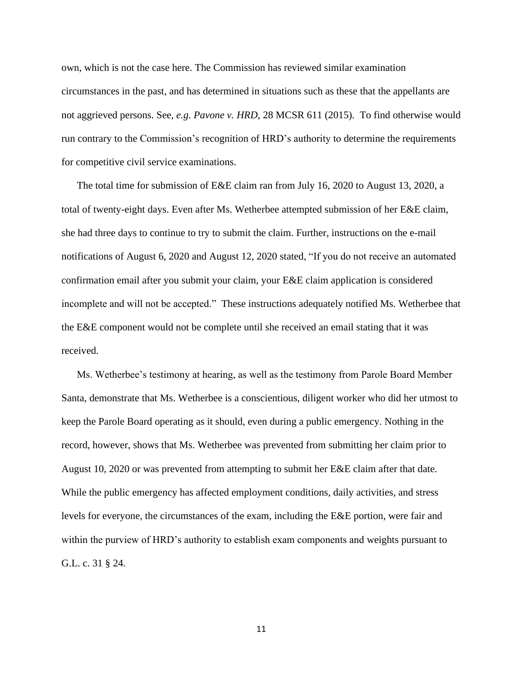own, which is not the case here. The Commission has reviewed similar examination circumstances in the past, and has determined in situations such as these that the appellants are not aggrieved persons. See*, e.g. Pavone v. HRD*, 28 MCSR 611 (2015). To find otherwise would run contrary to the Commission's recognition of HRD's authority to determine the requirements for competitive civil service examinations.

The total time for submission of E&E claim ran from July 16, 2020 to August 13, 2020, a total of twenty-eight days. Even after Ms. Wetherbee attempted submission of her E&E claim, she had three days to continue to try to submit the claim. Further, instructions on the e-mail notifications of August 6, 2020 and August 12, 2020 stated, "If you do not receive an automated confirmation email after you submit your claim, your E&E claim application is considered incomplete and will not be accepted." These instructions adequately notified Ms. Wetherbee that the E&E component would not be complete until she received an email stating that it was received.

Ms. Wetherbee's testimony at hearing, as well as the testimony from Parole Board Member Santa, demonstrate that Ms. Wetherbee is a conscientious, diligent worker who did her utmost to keep the Parole Board operating as it should, even during a public emergency. Nothing in the record, however, shows that Ms. Wetherbee was prevented from submitting her claim prior to August 10, 2020 or was prevented from attempting to submit her E&E claim after that date. While the public emergency has affected employment conditions, daily activities, and stress levels for everyone, the circumstances of the exam, including the E&E portion, were fair and within the purview of HRD's authority to establish exam components and weights pursuant to G.L. c. 31 § 24.

11